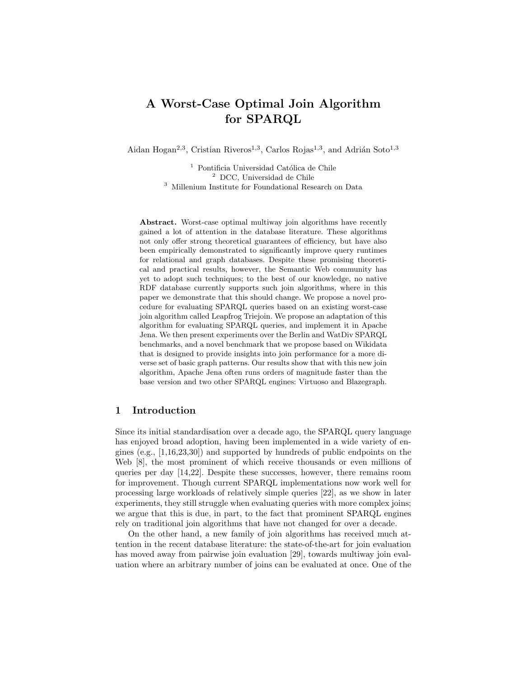# A Worst-Case Optimal Join Algorithm for SPARQL

Aidan Hogan<sup>2,3</sup>, Cristian Riveros<sup>1,3</sup>, Carlos Rojas<sup>1,3</sup>, and Adrián Soto<sup>1,3</sup>

 $^{\rm 1}$  Pontificia Universidad Católica de Chile <sup>2</sup> DCC, Universidad de Chile <sup>3</sup> Millenium Institute for Foundational Research on Data

Abstract. Worst-case optimal multiway join algorithms have recently gained a lot of attention in the database literature. These algorithms not only offer strong theoretical guarantees of efficiency, but have also been empirically demonstrated to significantly improve query runtimes for relational and graph databases. Despite these promising theoretical and practical results, however, the Semantic Web community has yet to adopt such techniques; to the best of our knowledge, no native RDF database currently supports such join algorithms, where in this paper we demonstrate that this should change. We propose a novel procedure for evaluating SPARQL queries based on an existing worst-case join algorithm called Leapfrog Triejoin. We propose an adaptation of this algorithm for evaluating SPARQL queries, and implement it in Apache Jena. We then present experiments over the Berlin and WatDiv SPARQL benchmarks, and a novel benchmark that we propose based on Wikidata that is designed to provide insights into join performance for a more diverse set of basic graph patterns. Our results show that with this new join algorithm, Apache Jena often runs orders of magnitude faster than the base version and two other SPARQL engines: Virtuoso and Blazegraph.

## 1 Introduction

Since its initial standardisation over a decade ago, the SPARQL query language has enjoyed broad adoption, having been implemented in a wide variety of engines (e.g., [\[1,](#page-14-0)[16,](#page-14-1)[23](#page-15-0)[,30\]](#page-15-1)) and supported by hundreds of public endpoints on the Web [\[8\]](#page-14-2), the most prominent of which receive thousands or even millions of queries per day [\[14,](#page-14-3)[22\]](#page-15-2). Despite these successes, however, there remains room for improvement. Though current SPARQL implementations now work well for processing large workloads of relatively simple queries [\[22\]](#page-15-2), as we show in later experiments, they still struggle when evaluating queries with more complex joins; we argue that this is due, in part, to the fact that prominent SPARQL engines rely on traditional join algorithms that have not changed for over a decade.

On the other hand, a new family of join algorithms has received much attention in the recent database literature: the state-of-the-art for join evaluation has moved away from pairwise join evaluation [\[29\]](#page-15-3), towards multiway join evaluation where an arbitrary number of joins can be evaluated at once. One of the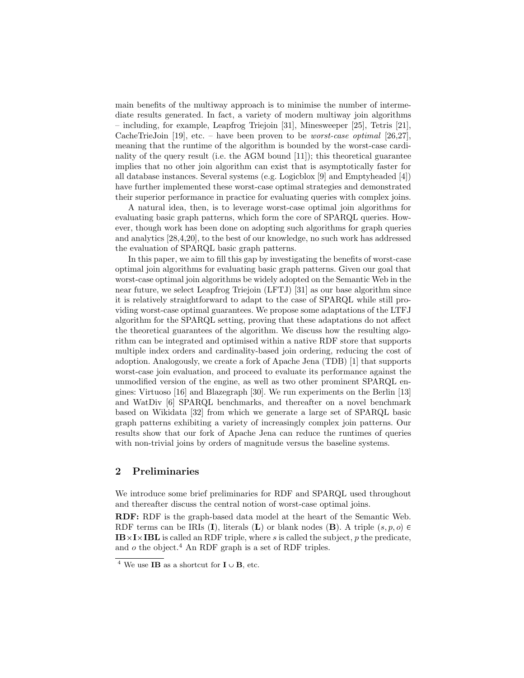main benefits of the multiway approach is to minimise the number of intermediate results generated. In fact, a variety of modern multiway join algorithms – including, for example, Leapfrog Triejoin [\[31\]](#page-15-4), Minesweeper [\[25\]](#page-15-5), Tetris [\[21\]](#page-15-6), CacheTrieJoin [\[19\]](#page-14-4), etc. – have been proven to be *worst-case optimal* [\[26](#page-15-7)[,27\]](#page-15-8), meaning that the runtime of the algorithm is bounded by the worst-case cardinality of the query result (i.e. the AGM bound [\[11\]](#page-14-5)); this theoretical guarantee implies that no other join algorithm can exist that is asymptotically faster for all database instances. Several systems (e.g. Logicblox [\[9\]](#page-14-6) and Emptyheaded [\[4\]](#page-14-7)) have further implemented these worst-case optimal strategies and demonstrated their superior performance in practice for evaluating queries with complex joins.

A natural idea, then, is to leverage worst-case optimal join algorithms for evaluating basic graph patterns, which form the core of SPARQL queries. However, though work has been done on adopting such algorithms for graph queries and analytics [\[28](#page-15-9)[,4,](#page-14-7)[20\]](#page-14-8), to the best of our knowledge, no such work has addressed the evaluation of SPARQL basic graph patterns.

In this paper, we aim to fill this gap by investigating the benefits of worst-case optimal join algorithms for evaluating basic graph patterns. Given our goal that worst-case optimal join algorithms be widely adopted on the Semantic Web in the near future, we select Leapfrog Triejoin (LFTJ) [\[31\]](#page-15-4) as our base algorithm since it is relatively straightforward to adapt to the case of SPARQL while still providing worst-case optimal guarantees. We propose some adaptations of the LTFJ algorithm for the SPARQL setting, proving that these adaptations do not affect the theoretical guarantees of the algorithm. We discuss how the resulting algorithm can be integrated and optimised within a native RDF store that supports multiple index orders and cardinality-based join ordering, reducing the cost of adoption. Analogously, we create a fork of Apache Jena (TDB) [\[1\]](#page-14-0) that supports worst-case join evaluation, and proceed to evaluate its performance against the unmodified version of the engine, as well as two other prominent SPARQL engines: Virtuoso [\[16\]](#page-14-1) and Blazegraph [\[30\]](#page-15-1). We run experiments on the Berlin [\[13\]](#page-14-9) and WatDiv [\[6\]](#page-14-10) SPARQL benchmarks, and thereafter on a novel benchmark based on Wikidata [\[32\]](#page-15-10) from which we generate a large set of SPARQL basic graph patterns exhibiting a variety of increasingly complex join patterns. Our results show that our fork of Apache Jena can reduce the runtimes of queries with non-trivial joins by orders of magnitude versus the baseline systems.

# 2 Preliminaries

We introduce some brief preliminaries for RDF and SPARQL used throughout and thereafter discuss the central notion of worst-case optimal joins.

RDF: RDF is the graph-based data model at the heart of the Semantic Web. RDF terms can be IRIs (I), literals (L) or blank nodes (B). A triple  $(s, p, o)$   $\in$  $\mathbf{IB} \times \mathbf{I} \times \mathbf{IBL}$  is called an RDF triple, where s is called the subject, p the predicate, and  $o$  the object.<sup>[4](#page-1-0)</sup> An RDF graph is a set of RDF triples.

<span id="page-1-0"></span><sup>&</sup>lt;sup>4</sup> We use **IB** as a shortcut for  $I \cup B$ , etc.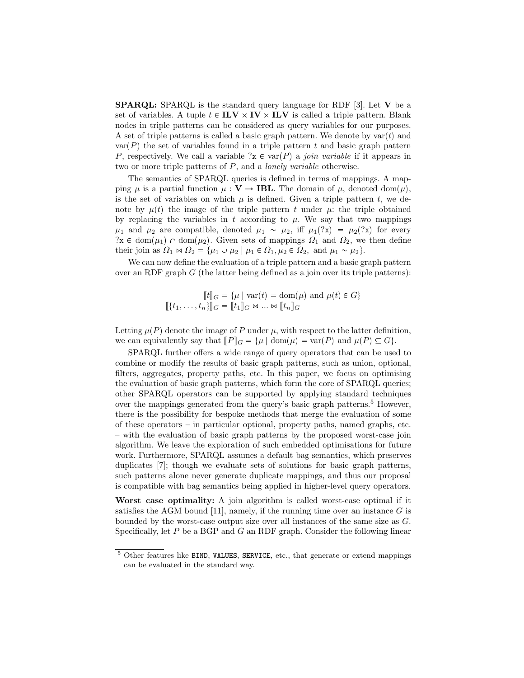SPARQL: SPARQL is the standard query language for RDF [\[3\]](#page-14-11). Let V be a set of variables. A tuple  $t \in ILV \times IV \times ILV$  is called a triple pattern. Blank nodes in triple patterns can be considered as query variables for our purposes. A set of triple patterns is called a basic graph pattern. We denote by  $var(t)$  and  $var(P)$  the set of variables found in a triple pattern t and basic graph pattern P, respectively. We call a variable  $x \in \text{var}(P)$  a join variable if it appears in two or more triple patterns of P, and a lonely variable otherwise.

The semantics of SPARQL queries is defined in terms of mappings. A mapping  $\mu$  is a partial function  $\mu : V \to \text{IBL}$ . The domain of  $\mu$ , denoted dom $(\mu)$ , is the set of variables on which  $\mu$  is defined. Given a triple pattern t, we denote by  $\mu(t)$  the image of the triple pattern t under  $\mu$ : the triple obtained by replacing the variables in t according to  $\mu$ . We say that two mappings  $\mu_1$  and  $\mu_2$  are compatible, denoted  $\mu_1 \sim \mu_2$ , iff  $\mu_1(?x) = \mu_2(?x)$  for every  $?x \in \text{dom}(\mu_1) \cap \text{dom}(\mu_2)$ . Given sets of mappings  $\Omega_1$  and  $\Omega_2$ , we then define their join as  $\Omega_1 \bowtie \Omega_2 = {\mu_1 \cup \mu_2 \mid \mu_1 \in \Omega_1, \mu_2 \in \Omega_2}$ , and  $\mu_1 \sim \mu_2$ .

We can now define the evaluation of a triple pattern and a basic graph pattern over an RDF graph  $G$  (the latter being defined as a join over its triple patterns):

$$
\llbracket t \rrbracket_G = \{ \mu \mid \text{var}(t) = \text{dom}(\mu) \text{ and } \mu(t) \in G \}
$$

$$
\llbracket \{ t_1, \dots, t_n \} \rrbracket_G = \llbracket t_1 \rrbracket_G \bowtie \dots \bowtie \llbracket t_n \rrbracket_G
$$

Letting  $\mu(P)$  denote the image of P under  $\mu$ , with respect to the latter definition, we can equivalently say that  $[P]_G = {\mu | dom(\mu) = var(P) \text{ and } \mu(P) \subseteq G}.$ 

SPARQL further offers a wide range of query operators that can be used to combine or modify the results of basic graph patterns, such as union, optional, filters, aggregates, property paths, etc. In this paper, we focus on optimising the evaluation of basic graph patterns, which form the core of SPARQL queries; other SPARQL operators can be supported by applying standard techniques over the mappings generated from the query's basic graph patterns.<sup>[5](#page-2-0)</sup> However, there is the possibility for bespoke methods that merge the evaluation of some of these operators – in particular optional, property paths, named graphs, etc. – with the evaluation of basic graph patterns by the proposed worst-case join algorithm. We leave the exploration of such embedded optimisations for future work. Furthermore, SPARQL assumes a default bag semantics, which preserves duplicates [\[7\]](#page-14-12); though we evaluate sets of solutions for basic graph patterns, such patterns alone never generate duplicate mappings, and thus our proposal is compatible with bag semantics being applied in higher-level query operators.

Worst case optimality: A join algorithm is called worst-case optimal if it satisfies the AGM bound [\[11\]](#page-14-5), namely, if the running time over an instance  $G$  is bounded by the worst-case output size over all instances of the same size as G. Specifically, let  $P$  be a BGP and  $G$  an RDF graph. Consider the following linear

<span id="page-2-0"></span><sup>5</sup> Other features like BIND, VALUES, SERVICE, etc., that generate or extend mappings can be evaluated in the standard way.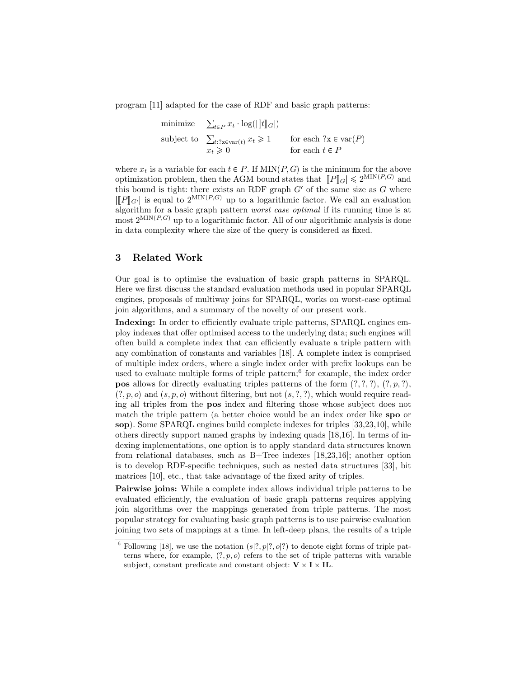program [\[11\]](#page-14-5) adapted for the case of RDF and basic graph patterns:

minimize  $\sum_{t \in P} x_t \cdot \log(\Vert[t]\Vert_G)$ subject to  $\sum_{t:?x \in \text{var}(t)} x_t \geq 1$  for each  $?x \in \text{var}(P)$  $x_t \geq 0$  for each  $t \in F$ 

where  $x_t$  is a variable for each  $t \in P$ . If  $\text{MIN}(P, G)$  is the minimum for the above optimization problem, then the AGM bound states that  $\left|\left[\![P]\!]_G\right|\leqslant 2^{\text{MIN}(P,G)}$  and this bound is tight; there exists an PDE graph  $C'$  of the same size as  $C$  where this bound is tight: there exists an RDF graph  $G'$  of the same size as  $G$  where  $\|\[P\]_{G'}\|$  is equal to  $2^{\text{MIN}(P,G)}$  up to a logarithmic factor. We call an evaluation algorithm for a basic graph pattern worst case optimal if its running time is at most  $2^{\text{MIN}(P,G)}$  up to a logarithmic factor. All of our algorithmic analysis is done in data complexity where the size of the query is considered as fixed.

# 3 Related Work

Our goal is to optimise the evaluation of basic graph patterns in SPARQL. Here we first discuss the standard evaluation methods used in popular SPARQL engines, proposals of multiway joins for SPARQL, works on worst-case optimal join algorithms, and a summary of the novelty of our present work.

Indexing: In order to efficiently evaluate triple patterns, SPARQL engines employ indexes that offer optimised access to the underlying data; such engines will often build a complete index that can efficiently evaluate a triple pattern with any combination of constants and variables [\[18\]](#page-14-13). A complete index is comprised of multiple index orders, where a single index order with prefix lookups can be used to evaluate multiple forms of triple pattern;<sup>[6](#page-3-0)</sup> for example, the index order **pos** allows for directly evaluating triples patterns of the form  $(?,?,?,'), (?,p, ?),$  $(?, p, o)$  and  $(s, p, o)$  without filtering, but not  $(s, ?, ?)$ , which would require reading all triples from the pos index and filtering those whose subject does not match the triple pattern (a better choice would be an index order like spo or sop). Some SPARQL engines build complete indexes for triples [\[33,](#page-15-11)[23,](#page-15-0)[10\]](#page-14-14), while others directly support named graphs by indexing quads [\[18,](#page-14-13)[16\]](#page-14-1). In terms of indexing implementations, one option is to apply standard data structures known from relational databases, such as B+Tree indexes [\[18,](#page-14-13)[23,](#page-15-0)[16\]](#page-14-1); another option is to develop RDF-specific techniques, such as nested data structures [\[33\]](#page-15-11), bit matrices [\[10\]](#page-14-14), etc., that take advantage of the fixed arity of triples.

Pairwise joins: While a complete index allows individual triple patterns to be evaluated efficiently, the evaluation of basic graph patterns requires applying join algorithms over the mappings generated from triple patterns. The most popular strategy for evaluating basic graph patterns is to use pairwise evaluation joining two sets of mappings at a time. In left-deep plans, the results of a triple

<span id="page-3-0"></span><sup>&</sup>lt;sup>6</sup> Following [\[18\]](#page-14-13), we use the notation  $(s|?, p|?, o|?)$  to denote eight forms of triple patterns where, for example,  $(?, p, o)$  refers to the set of triple patterns with variable subject, constant predicate and constant object:  $V \times I \times IL$ .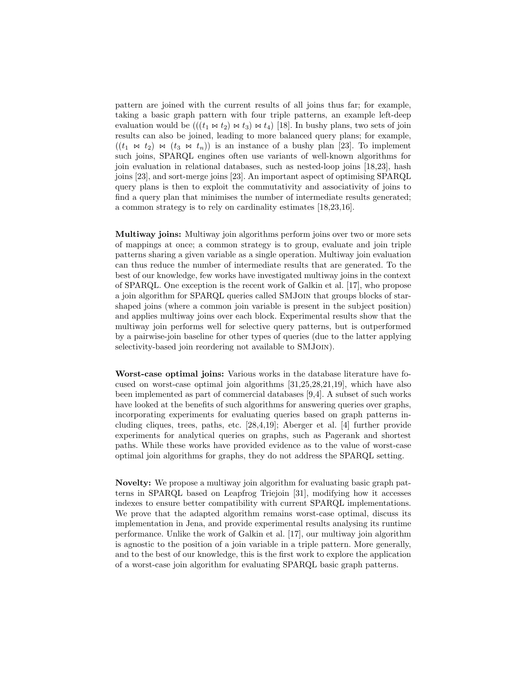pattern are joined with the current results of all joins thus far; for example, taking a basic graph pattern with four triple patterns, an example left-deep evaluation would be  $(((t_1 \bowtie t_2) \bowtie t_3) \bowtie t_4)$  [\[18\]](#page-14-13). In bushy plans, two sets of join results can also be joined, leading to more balanced query plans; for example,  $((t_1 \bowtie t_2) \bowtie (t_3 \bowtie t_n))$  is an instance of a bushy plan [\[23\]](#page-15-0). To implement such joins, SPARQL engines often use variants of well-known algorithms for join evaluation in relational databases, such as nested-loop joins [\[18,](#page-14-13)[23\]](#page-15-0), hash joins [\[23\]](#page-15-0), and sort-merge joins [\[23\]](#page-15-0). An important aspect of optimising SPARQL query plans is then to exploit the commutativity and associativity of joins to find a query plan that minimises the number of intermediate results generated; a common strategy is to rely on cardinality estimates [\[18,](#page-14-13)[23,](#page-15-0)[16\]](#page-14-1).

Multiway joins: Multiway join algorithms perform joins over two or more sets of mappings at once; a common strategy is to group, evaluate and join triple patterns sharing a given variable as a single operation. Multiway join evaluation can thus reduce the number of intermediate results that are generated. To the best of our knowledge, few works have investigated multiway joins in the context of SPARQL. One exception is the recent work of Galkin et al. [\[17\]](#page-14-15), who propose a join algorithm for SPARQL queries called SMJoin that groups blocks of starshaped joins (where a common join variable is present in the subject position) and applies multiway joins over each block. Experimental results show that the multiway join performs well for selective query patterns, but is outperformed by a pairwise-join baseline for other types of queries (due to the latter applying selectivity-based join reordering not available to SMJOIN).

Worst-case optimal joins: Various works in the database literature have focused on worst-case optimal join algorithms [\[31,](#page-15-4)[25,](#page-15-5)[28,](#page-15-9)[21](#page-15-6)[,19\]](#page-14-4), which have also been implemented as part of commercial databases [\[9,](#page-14-6)[4\]](#page-14-7). A subset of such works have looked at the benefits of such algorithms for answering queries over graphs, incorporating experiments for evaluating queries based on graph patterns including cliques, trees, paths, etc. [\[28,](#page-15-9)[4,](#page-14-7)[19\]](#page-14-4); Aberger et al. [\[4\]](#page-14-7) further provide experiments for analytical queries on graphs, such as Pagerank and shortest paths. While these works have provided evidence as to the value of worst-case optimal join algorithms for graphs, they do not address the SPARQL setting.

Novelty: We propose a multiway join algorithm for evaluating basic graph patterns in SPARQL based on Leapfrog Triejoin [\[31\]](#page-15-4), modifying how it accesses indexes to ensure better compatibility with current SPARQL implementations. We prove that the adapted algorithm remains worst-case optimal, discuss its implementation in Jena, and provide experimental results analysing its runtime performance. Unlike the work of Galkin et al. [\[17\]](#page-14-15), our multiway join algorithm is agnostic to the position of a join variable in a triple pattern. More generally, and to the best of our knowledge, this is the first work to explore the application of a worst-case join algorithm for evaluating SPARQL basic graph patterns.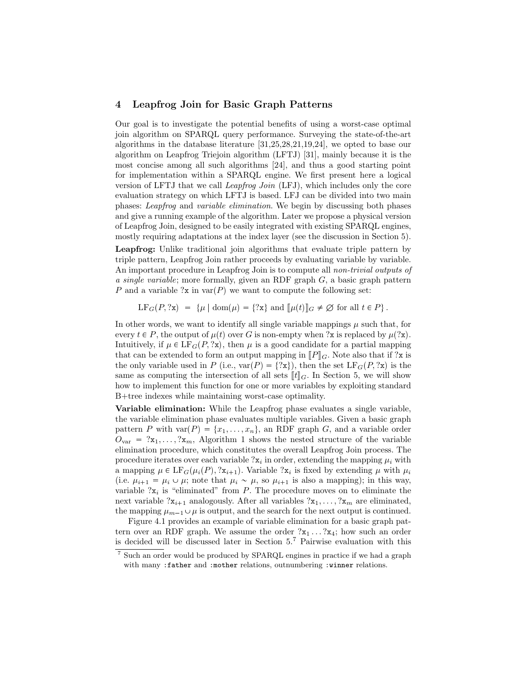# 4 Leapfrog Join for Basic Graph Patterns

Our goal is to investigate the potential benefits of using a worst-case optimal join algorithm on SPARQL query performance. Surveying the state-of-the-art algorithms in the database literature [\[31,](#page-15-4)[25,](#page-15-5)[28](#page-15-9)[,21,](#page-15-6)[19,](#page-14-4)[24\]](#page-15-12), we opted to base our algorithm on Leapfrog Triejoin algorithm (LFTJ) [\[31\]](#page-15-4), mainly because it is the most concise among all such algorithms [\[24\]](#page-15-12), and thus a good starting point for implementation within a SPARQL engine. We first present here a logical version of LFTJ that we call Leapfrog Join (LFJ), which includes only the core evaluation strategy on which LFTJ is based. LFJ can be divided into two main phases: Leapfrog and variable elimination. We begin by discussing both phases and give a running example of the algorithm. Later we propose a physical version of Leapfrog Join, designed to be easily integrated with existing SPARQL engines, mostly requiring adaptations at the index layer (see the discussion in Section [5\)](#page-6-0).

Leapfrog: Unlike traditional join algorithms that evaluate triple pattern by triple pattern, Leapfrog Join rather proceeds by evaluating variable by variable. An important procedure in Leapfrog Join is to compute all non-trivial outputs of a single variable; more formally, given an RDF graph  $G$ , a basic graph pattern P and a variable ?x in  $var(P)$  we want to compute the following set:

 $LF_G(P, ?x) = \{ \mu \mid \text{dom}(\mu) = \{?x\} \text{ and } \llbracket \mu(t) \rrbracket_G \neq \emptyset \text{ for all } t \in P \}.$ 

In other words, we want to identify all single variable mappings  $\mu$  such that, for every  $t \in P$ , the output of  $\mu(t)$  over G is non-empty when ?x is replaced by  $\mu$ (?x). Intuitively, if  $\mu \in \mathrm{LF}_{G}(P, ?\mathbf{x})$ , then  $\mu$  is a good candidate for a partial mapping that can be extended to form an output mapping in  $[{\mathbb{P}}]_G$ . Note also that if ?x is the only variable used in P (i.e.,  $var(P) = \{?x\}$ ), then the set  $LF_G(P, ?x)$  is the same as computing the intersection of all sets  $[\![t]\!]_G$ . In Section [5,](#page-6-0) we will show how to implement this function for one or more variables by exploiting standard B+tree indexes while maintaining worst-case optimality.

Variable elimination: While the Leapfrog phase evaluates a single variable, the variable elimination phase evaluates multiple variables. Given a basic graph pattern P with  $var(P) = \{x_1, \ldots, x_n\}$ , an RDF graph G, and a variable order  $O_{\text{var}} = ?\mathbf{x}_1, \ldots, ?\mathbf{x}_m$  $O_{\text{var}} = ?\mathbf{x}_1, \ldots, ?\mathbf{x}_m$  $O_{\text{var}} = ?\mathbf{x}_1, \ldots, ?\mathbf{x}_m$ , Algorithm 1 shows the nested structure of the variable elimination procedure, which constitutes the overall Leapfrog Join process. The procedure iterates over each variable  $2x_i$  in order, extending the mapping  $\mu_i$  with a mapping  $\mu \in \text{LF}_G(\mu_i(P), ?\mathbf{x}_{i+1})$ . Variable ? $\mathbf{x}_i$  is fixed by extending  $\mu$  with  $\mu_i$ (i.e.  $\mu_{i+1} = \mu_i \cup \mu$ ; note that  $\mu_i \sim \mu$ , so  $\mu_{i+1}$  is also a mapping); in this way, variable  $x_i$  is "eliminated" from P. The procedure moves on to eliminate the next variable  $x_{i+1}$  analogously. After all variables  $x_1, \ldots, x_m$  are eliminated, the mapping  $\mu_{m-1}\cup\mu$  is output, and the search for the next output is continued.

Figure [4.1](#page-6-2) provides an example of variable elimination for a basic graph pattern over an RDF graph. We assume the order  $?x_1 \ldots ?x_4$ ; how such an order is decided will be discussed later in Section [5.](#page-6-0) [7](#page-5-0) Pairwise evaluation with this

<span id="page-5-0"></span><sup>7</sup> Such an order would be produced by SPARQL engines in practice if we had a graph with many :father and :mother relations, outnumbering :winner relations.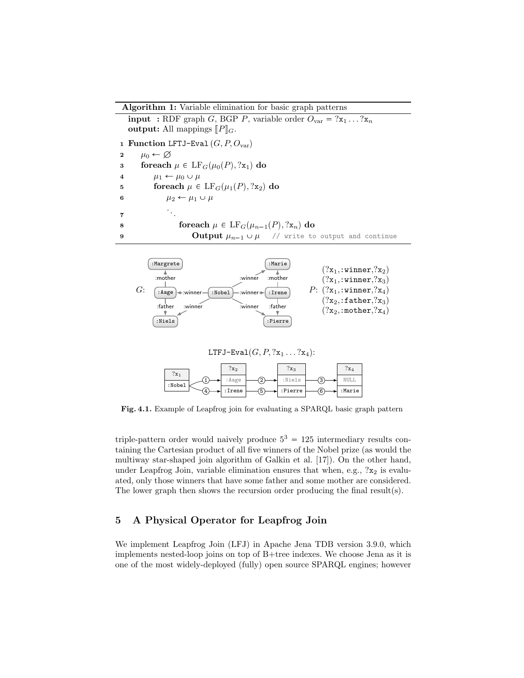Algorithm 1: Variable elimination for basic graph patterns

**input** : RDF graph G, BGP P, variable order  $O_{var} = ?x_1 \ldots ?x_n$ output: All mappings  $[P]_G$ .

1 Function LFTJ-Eval  $(G, P, O_{var})$ 2  $\mu_0 \leftarrow \varnothing$ 3 foreach  $\mu \in \mathrm{LF}_{G}(\mu_0(P), ?\mathbf{x}_1)$  do 4  $\mu_1 \leftarrow \mu_0 \cup \mu$ 5 foreach  $\mu \in \mathrm{LF}_{G}(\mu_1(P), ?\mathbf{x}_2)$  do 6  $\mu_2 \leftarrow \mu_1 \cup \mu$ 7 . . . 8 foreach  $\mu \in \mathrm{LF}_G(\mu_{n-1}(P), ?\mathbf{x}_n)$  do 9 **Output**  $\mu_{n-1} \cup \mu$  // write to output and continue

<span id="page-6-1"></span>

<span id="page-6-2"></span>Fig. 4.1. Example of Leapfrog join for evaluating a SPARQL basic graph pattern

triple-pattern order would naively produce  $5^3 = 125$  intermediary results containing the Cartesian product of all five winners of the Nobel prize (as would the multiway star-shaped join algorithm of Galkin et al. [\[17\]](#page-14-15)). On the other hand, under Leapfrog Join, variable elimination ensures that when, e.g.,  $2x_2$  is evaluated, only those winners that have some father and some mother are considered. The lower graph then shows the recursion order producing the final result(s).

# <span id="page-6-0"></span>5 A Physical Operator for Leapfrog Join

We implement Leapfrog Join (LFJ) in Apache Jena TDB version 3.9.0, which implements nested-loop joins on top of B+tree indexes. We choose Jena as it is one of the most widely-deployed (fully) open source SPARQL engines; however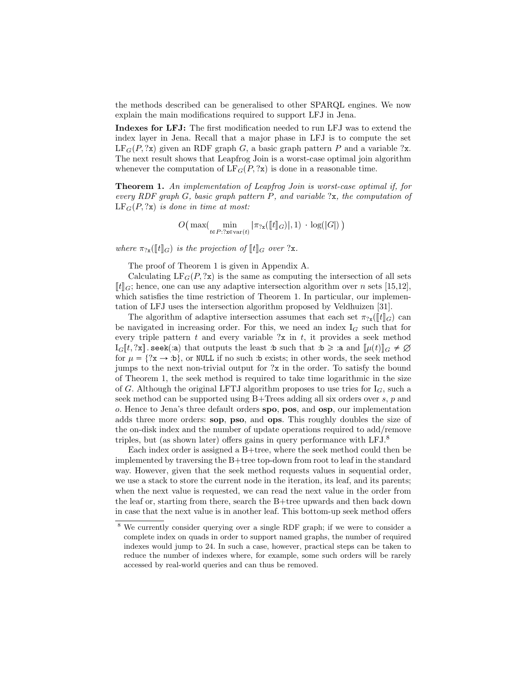the methods described can be generalised to other SPARQL engines. We now explain the main modifications required to support LFJ in Jena.

Indexes for LFJ: The first modification needed to run LFJ was to extend the index layer in Jena. Recall that a major phase in LFJ is to compute the set  $LF_G(P, ?x)$  given an RDF graph G, a basic graph pattern P and a variable ?x. The next result shows that Leapfrog Join is a worst-case optimal join algorithm whenever the computation of  $LF_G(P, 2x)$  is done in a reasonable time.

<span id="page-7-0"></span>Theorem 1. An implementation of Leapfrog Join is worst-case optimal if, for every RDF graph  $G$ , basic graph pattern  $P$ , and variable  $?x$ , the computation of  $LF_G(P, ?x)$  is done in time at most:

$$
O\big(\max(\min_{t\in P:? \mathtt{x}\in \mathtt{var}(t)}|\pi_{? \mathtt{x}}([\![t]\!]_{G}) |, 1) \cdot \log(|G|)\big)
$$

where  $\pi_{?x}(\llbracket t \rrbracket_G)$  is the projection of  $\llbracket t \rrbracket_G$  over ?x.

The proof of Theorem [1](#page-7-0) is given in Appendix [A.](#page-15-13)

Calculating  $LF_G(P, 2x)$  is the same as computing the intersection of all sets  $\llbracket t \rrbracket_G$ ; hence, one can use any adaptive intersection algorithm over n sets [\[15](#page-14-16)[,12\]](#page-14-17), which satisfies the time restriction of Theorem [1.](#page-7-0) In particular, our implementation of LFJ uses the intersection algorithm proposed by Veldhuizen [\[31\]](#page-15-4).

The algorithm of adaptive intersection assumes that each set  $\pi_{?x}(\llbracket t \rrbracket_G)$  can be navigated in increasing order. For this, we need an index  $I_G$  such that for every triple pattern  $t$  and every variable  $x$  in  $t$ , it provides a seek method  $I_G[t, ?x]$  seek(:a) that outputs the least :b such that :b  $\geq$  :a and  $[\![\mu(t)]\!]_G \neq \emptyset$ for  $\mu = \{?x \rightarrow :b\}$ , or NULL if no such :b exists; in other words, the seek method jumps to the next non-trivial output for ?x in the order. To satisfy the bound of Theorem [1,](#page-7-0) the seek method is required to take time logarithmic in the size of G. Although the original LFTJ algorithm proposes to use tries for  $I_G$ , such a seek method can be supported using B+Trees adding all six orders over s, p and o. Hence to Jena's three default orders spo, pos, and osp, our implementation adds three more orders: sop, pso, and ops. This roughly doubles the size of the on-disk index and the number of update operations required to add/remove triples, but (as shown later) offers gains in query performance with LFJ.[8](#page-7-1)

Each index order is assigned a B+tree, where the seek method could then be implemented by traversing the B+tree top-down from root to leaf in the standard way. However, given that the seek method requests values in sequential order, we use a stack to store the current node in the iteration, its leaf, and its parents; when the next value is requested, we can read the next value in the order from the leaf or, starting from there, search the B+tree upwards and then back down in case that the next value is in another leaf. This bottom-up seek method offers

<span id="page-7-1"></span><sup>&</sup>lt;sup>8</sup> We currently consider querying over a single RDF graph; if we were to consider a complete index on quads in order to support named graphs, the number of required indexes would jump to 24. In such a case, however, practical steps can be taken to reduce the number of indexes where, for example, some such orders will be rarely accessed by real-world queries and can thus be removed.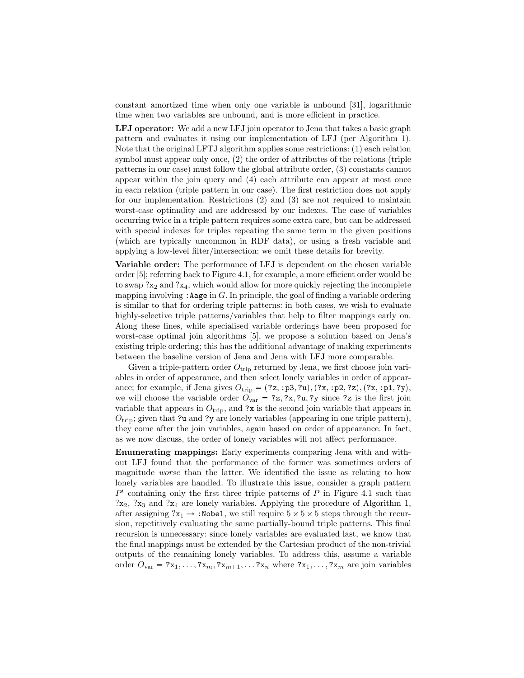constant amortized time when only one variable is unbound [\[31\]](#page-15-4), logarithmic time when two variables are unbound, and is more efficient in practice.

LFJ operator: We add a new LFJ join operator to Jena that takes a basic graph pattern and evaluates it using our implementation of LFJ (per Algorithm [1\)](#page-6-1). Note that the original LFTJ algorithm applies some restrictions: (1) each relation symbol must appear only once, (2) the order of attributes of the relations (triple patterns in our case) must follow the global attribute order, (3) constants cannot appear within the join query and (4) each attribute can appear at most once in each relation (triple pattern in our case). The first restriction does not apply for our implementation. Restrictions (2) and (3) are not required to maintain worst-case optimality and are addressed by our indexes. The case of variables occurring twice in a triple pattern requires some extra care, but can be addressed with special indexes for triples repeating the same term in the given positions (which are typically uncommon in RDF data), or using a fresh variable and applying a low-level filter/intersection; we omit these details for brevity.

Variable order: The performance of LFJ is dependent on the chosen variable order [\[5\]](#page-14-18); referring back to Figure [4.1,](#page-6-2) for example, a more efficient order would be to swap  $2x_2$  and  $2x_4$ , which would allow for more quickly rejecting the incomplete mapping involving : Aage in  $G$ . In principle, the goal of finding a variable ordering is similar to that for ordering triple patterns: in both cases, we wish to evaluate highly-selective triple patterns/variables that help to filter mappings early on. Along these lines, while specialised variable orderings have been proposed for worst-case optimal join algorithms [\[5\]](#page-14-18), we propose a solution based on Jena's existing triple ordering; this has the additional advantage of making experiments between the baseline version of Jena and Jena with LFJ more comparable.

Given a triple-pattern order  $O_{\text{trip}}$  returned by Jena, we first choose join variables in order of appearance, and then select lonely variables in order of appearance; for example, if Jena gives  $O_{\text{trip}} = (?z, :p3, ?u), (?x, :p2, ?z), (?x, :p1, ?y),$ we will choose the variable order  $O_{var} = ?z, ?x, ?u, ?y$  since ?z is the first join variable that appears in  $O_{\text{trip}}$ , and ?x is the second join variable that appears in  $O_{\text{trip}}$ ; given that ?u and ?y are lonely variables (appearing in one triple pattern), they come after the join variables, again based on order of appearance. In fact, as we now discuss, the order of lonely variables will not affect performance.

Enumerating mappings: Early experiments comparing Jena with and without LFJ found that the performance of the former was sometimes orders of magnitude worse than the latter. We identified the issue as relating to how lonely variables are handled. To illustrate this issue, consider a graph pattern  $P'$  containing only the first three triple patterns of  $P$  in Figure [4.1](#page-6-2) such that  $?x_2, ?x_3$  and  $?x_4$  are lonely variables. Applying the procedure of Algorithm [1,](#page-6-1) after assigning  $2x_1 \rightarrow : \text{Node1},$  we still require  $5 \times 5 \times 5$  steps through the recursion, repetitively evaluating the same partially-bound triple patterns. This final recursion is unnecessary: since lonely variables are evaluated last, we know that the final mappings must be extended by the Cartesian product of the non-trivial outputs of the remaining lonely variables. To address this, assume a variable order  $O_{\text{var}} = ?\mathbf{x}_1, \ldots, ?\mathbf{x}_m, ?\mathbf{x}_{m+1}, \ldots$ ? $\mathbf{x}_n$  where  $? \mathbf{x}_1, \ldots, ?\mathbf{x}_m$  are join variables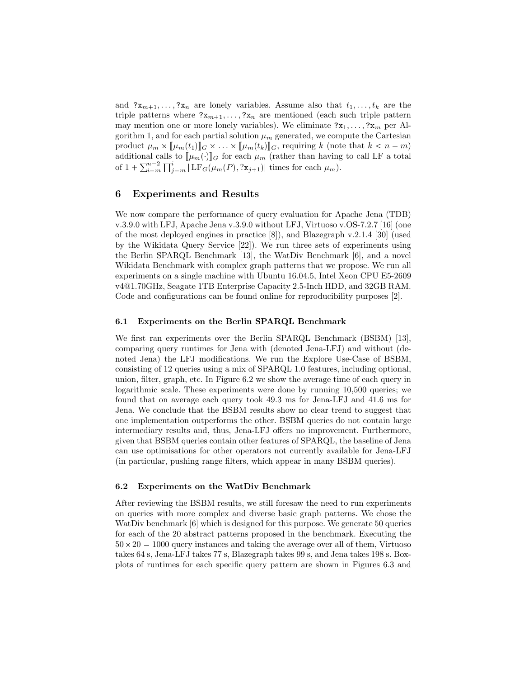and  $\mathfrak{R}_{m+1}, \ldots, \mathfrak{R}_n$  are lonely variables. Assume also that  $t_1, \ldots, t_k$  are the triple patterns where  $\mathfrak{Z}_{m+1}, \ldots, \mathfrak{Z}_{n}$  are mentioned (each such triple pattern may mention one or more lonely variables). We eliminate  $?x_1, \ldots, ?x_m$  per Al-gorithm [1,](#page-6-1) and for each partial solution  $\mu_m$  generated, we compute the Cartesian product  $\mu_m \times [\![\mu_m(t_1)]\!]_G \times \ldots \times [\![\mu_m(t_k)]\!]_G$ , requiring k (note that  $k < n-m$ )<br>additional salls to  $[\![\mu_n(t_1)]\!]_G$  for sach  $\mu$ , (rather than baying to sall I E a total additional calls to  $[\mu_m(\cdot)]_G$  for each  $\mu_m$  (rather than having to call LF a total of  $1 + \sum_{i=m}^{n-2} \prod_{j=m}^{i} \left[ \text{LF}_G(\mu_m(P), ?\mathbf{x}_{j+1}) \right]$  times for each  $\mu_m$ ).

# 6 Experiments and Results

We now compare the performance of query evaluation for Apache Jena (TDB) v.3.9.0 with LFJ, Apache Jena v.3.9.0 without LFJ, Virtuoso v.OS-7.2.7 [\[16\]](#page-14-1) (one of the most deployed engines in practice [\[8\]](#page-14-2)), and Blazegraph v.2.1.4 [\[30\]](#page-15-1) (used by the Wikidata Query Service [\[22\]](#page-15-2)). We run three sets of experiments using the Berlin SPARQL Benchmark [\[13\]](#page-14-9), the WatDiv Benchmark [\[6\]](#page-14-10), and a novel Wikidata Benchmark with complex graph patterns that we propose. We run all experiments on a single machine with Ubuntu 16.04.5, Intel Xeon CPU E5-2609 v4@1.70GHz, Seagate 1TB Enterprise Capacity 2.5-Inch HDD, and 32GB RAM. Code and configurations can be found online for reproducibility purposes [\[2\]](#page-14-19).

#### 6.1 Experiments on the Berlin SPARQL Benchmark

We first ran experiments over the Berlin SPARQL Benchmark (BSBM) [\[13\]](#page-14-9), comparing query runtimes for Jena with (denoted Jena-LFJ) and without (denoted Jena) the LFJ modifications. We run the Explore Use-Case of BSBM, consisting of 12 queries using a mix of SPARQL 1.0 features, including optional, union, filter, graph, etc. In Figure [6.2](#page-10-0) we show the average time of each query in logarithmic scale. These experiments were done by running 10,500 queries; we found that on average each query took 49.3 ms for Jena-LFJ and 41.6 ms for Jena. We conclude that the BSBM results show no clear trend to suggest that one implementation outperforms the other. BSBM queries do not contain large intermediary results and, thus, Jena-LFJ offers no improvement. Furthermore, given that BSBM queries contain other features of SPARQL, the baseline of Jena can use optimisations for other operators not currently available for Jena-LFJ (in particular, pushing range filters, which appear in many BSBM queries).

#### 6.2 Experiments on the WatDiv Benchmark

After reviewing the BSBM results, we still foresaw the need to run experiments on queries with more complex and diverse basic graph patterns. We chose the WatDiv benchmark [\[6\]](#page-14-10) which is designed for this purpose. We generate 50 queries for each of the 20 abstract patterns proposed in the benchmark. Executing the  $50 \times 20 = 1000$  query instances and taking the average over all of them, Virtuoso takes 64 s, Jena-LFJ takes 77 s, Blazegraph takes 99 s, and Jena takes 198 s. Boxplots of runtimes for each specific query pattern are shown in Figures [6.3](#page-10-1) and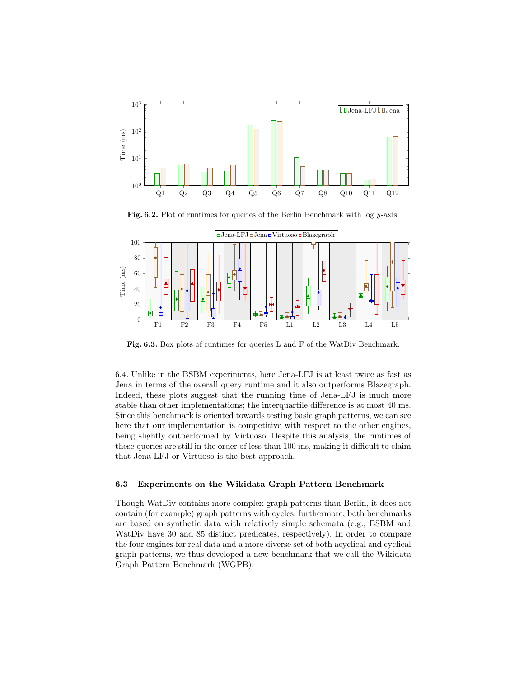

<span id="page-10-0"></span>Fig. 6.2. Plot of runtimes for queries of the Berlin Benchmark with log  $y$ -axis.



<span id="page-10-1"></span>Fig. 6.3. Box plots of runtimes for queries L and F of the WatDiv Benchmark.

[6.4.](#page-11-0) Unlike in the BSBM experiments, here Jena-LFJ is at least twice as fast as Jena in terms of the overall query runtime and it also outperforms Blazegraph. Indeed, these plots suggest that the running time of Jena-LFJ is much more stable than other implementations; the interquartile difference is at most 40 ms. Since this benchmark is oriented towards testing basic graph patterns, we can see here that our implementation is competitive with respect to the other engines, being slightly outperformed by Virtuoso. Despite this analysis, the runtimes of these queries are still in the order of less than 100 ms, making it difficult to claim that Jena-LFJ or Virtuoso is the best approach.

#### 6.3 Experiments on the Wikidata Graph Pattern Benchmark

Though WatDiv contains more complex graph patterns than Berlin, it does not contain (for example) graph patterns with cycles; furthermore, both benchmarks are based on synthetic data with relatively simple schemata (e.g., BSBM and WatDiv have 30 and 85 distinct predicates, respectively). In order to compare the four engines for real data and a more diverse set of both acyclical and cyclical graph patterns, we thus developed a new benchmark that we call the Wikidata Graph Pattern Benchmark (WGPB).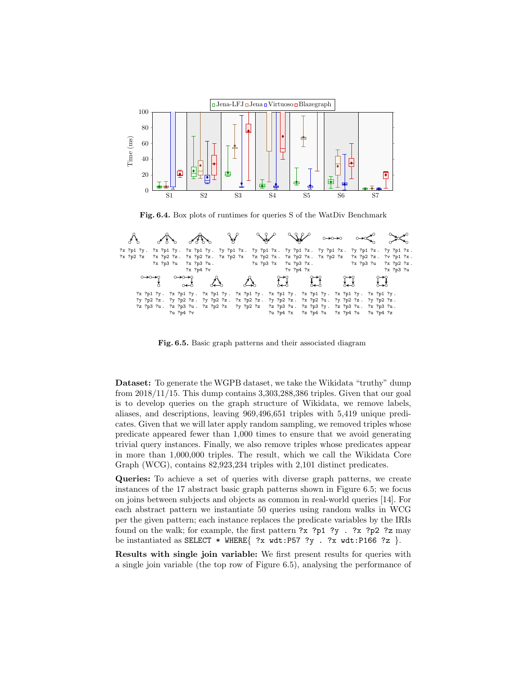

<span id="page-11-0"></span>Fig. 6.4. Box plots of runtimes for queries S of the WatDiv Benchmark



<span id="page-11-1"></span>Fig. 6.5. Basic graph patterns and their associated diagram

Dataset: To generate the WGPB dataset, we take the Wikidata "truthy" dump from 2018/11/15. This dump contains 3,303,288,386 triples. Given that our goal is to develop queries on the graph structure of Wikidata, we remove labels, aliases, and descriptions, leaving 969,496,651 triples with 5,419 unique predicates. Given that we will later apply random sampling, we removed triples whose predicate appeared fewer than 1,000 times to ensure that we avoid generating trivial query instances. Finally, we also remove triples whose predicates appear in more than 1,000,000 triples. The result, which we call the Wikidata Core Graph (WCG), contains 82,923,234 triples with 2,101 distinct predicates.

Queries: To achieve a set of queries with diverse graph patterns, we create instances of the 17 abstract basic graph patterns shown in Figure [6.5;](#page-11-1) we focus on joins between subjects and objects as common in real-world queries [\[14\]](#page-14-3). For each abstract pattern we instantiate 50 queries using random walks in WCG per the given pattern; each instance replaces the predicate variables by the IRIs found on the walk; for example, the first pattern ?x ?p1 ?y . ?x ?p2 ?z may be instantiated as SELECT \* WHERE{ ?x wdt:P57 ?y . ?x wdt:P166 ?z }.

Results with single join variable: We first present results for queries with a single join variable (the top row of Figure [6.5\)](#page-11-1), analysing the performance of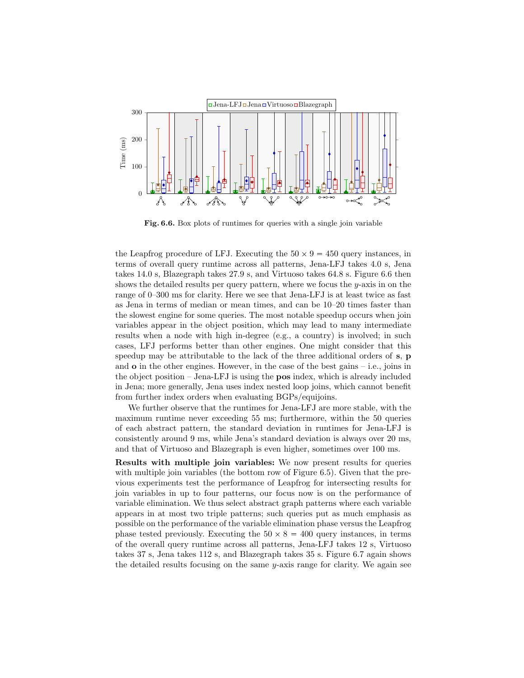

<span id="page-12-0"></span>Fig. 6.6. Box plots of runtimes for queries with a single join variable

the Leapfrog procedure of LFJ. Executing the  $50 \times 9 = 450$  query instances, in terms of overall query runtime across all patterns, Jena-LFJ takes 4.0 s, Jena takes 14.0 s, Blazegraph takes 27.9 s, and Virtuoso takes 64.8 s. Figure [6.6](#page-12-0) then shows the detailed results per query pattern, where we focus the  $y$ -axis in on the range of 0–300 ms for clarity. Here we see that Jena-LFJ is at least twice as fast as Jena in terms of median or mean times, and can be 10–20 times faster than the slowest engine for some queries. The most notable speedup occurs when join variables appear in the object position, which may lead to many intermediate results when a node with high in-degree (e.g., a country) is involved; in such cases, LFJ performs better than other engines. One might consider that this speedup may be attributable to the lack of the three additional orders of s, p and  $\bf{o}$  in the other engines. However, in the case of the best gains  $-$  i.e., joins in the object position – Jena-LFJ is using the pos index, which is already included in Jena; more generally, Jena uses index nested loop joins, which cannot benefit from further index orders when evaluating BGPs/equijoins.

We further observe that the runtimes for Jena-LFJ are more stable, with the maximum runtime never exceeding 55 ms; furthermore, within the 50 queries of each abstract pattern, the standard deviation in runtimes for Jena-LFJ is consistently around 9 ms, while Jena's standard deviation is always over 20 ms, and that of Virtuoso and Blazegraph is even higher, sometimes over 100 ms.

Results with multiple join variables: We now present results for queries with multiple join variables (the bottom row of Figure [6.5\)](#page-11-1). Given that the previous experiments test the performance of Leapfrog for intersecting results for join variables in up to four patterns, our focus now is on the performance of variable elimination. We thus select abstract graph patterns where each variable appears in at most two triple patterns; such queries put as much emphasis as possible on the performance of the variable elimination phase versus the Leapfrog phase tested previously. Executing the  $50 \times 8 = 400$  query instances, in terms of the overall query runtime across all patterns, Jena-LFJ takes 12 s, Virtuoso takes 37 s, Jena takes 112 s, and Blazegraph takes 35 s. Figure [6.7](#page-13-0) again shows the detailed results focusing on the same  $y$ -axis range for clarity. We again see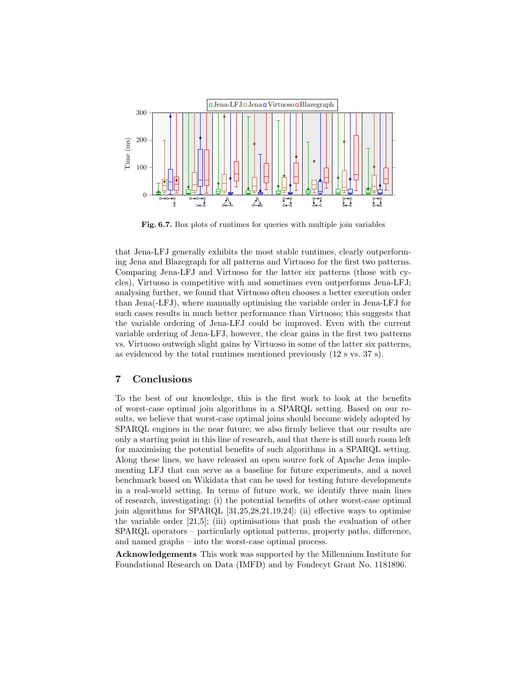

<span id="page-13-0"></span>Fig. 6.7. Box plots of runtimes for queries with multiple join variables

that Jena-LFJ generally exhibits the most stable runtimes, clearly outperforming Jena and Blazegraph for all patterns and Virtuoso for the first two patterns. Comparing Jena-LFJ and Virtuoso for the latter six patterns (those with cycles), Virtuoso is competitive with and sometimes even outperforms Jena-LFJ; analysing further, we found that Virtuoso often chooses a better execution order than Jena(-LFJ), where manually optimising the variable order in Jena-LFJ for such cases results in much better performance than Virtuoso; this suggests that the variable ordering of Jena-LFJ could be improved. Even with the current variable ordering of Jena-LFJ, however, the clear gains in the first two patterns vs. Virtuoso outweigh slight gains by Virtuoso in some of the latter six patterns, as evidenced by the total runtimes mentioned previously (12 s vs. 37 s).

## 7 Conclusions

To the best of our knowledge, this is the first work to look at the benefits of worst-case optimal join algorithms in a SPARQL setting. Based on our results, we believe that worst-case optimal joins should become widely adopted by SPARQL engines in the near future; we also firmly believe that our results are only a starting point in this line of research, and that there is still much room left for maximising the potential benefits of such algorithms in a SPARQL setting. Along these lines, we have released an open source fork of Apache Jena implementing LFJ that can serve as a baseline for future experiments, and a novel benchmark based on Wikidata that can be used for testing future developments in a real-world setting. In terms of future work, we identify three main lines of research, investigating: (i) the potential benefits of other worst-case optimal join algorithms for SPARQL [\[31](#page-15-4)[,25,](#page-15-5)[28,](#page-15-9)[21](#page-15-6)[,19,](#page-14-4)[24\]](#page-15-12); (ii) effective ways to optimise the variable order [\[21,](#page-15-6)[5\]](#page-14-18); (iii) optimisations that push the evaluation of other SPARQL operators – particularly optional patterns, property paths, difference, and named graphs – into the worst-case optimal process.

Acknowledgements This work was supported by the Millennium Institute for Foundational Research on Data (IMFD) and by Fondecyt Grant No. 1181896.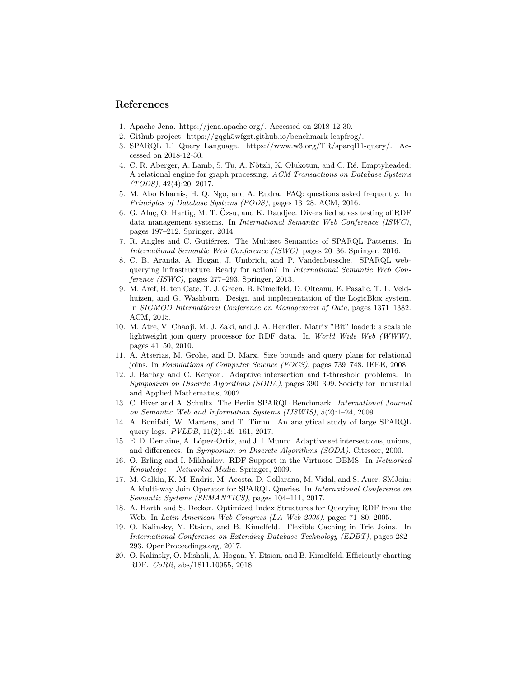# References

- <span id="page-14-0"></span>1. Apache Jena. https://jena.apache.org/. Accessed on 2018-12-30.
- <span id="page-14-19"></span>2. Github project. https://gqgh5wfgzt.github.io/benchmark-leapfrog/.
- <span id="page-14-11"></span>3. SPARQL 1.1 Query Language. https://www.w3.org/TR/sparql11-query/. Accessed on 2018-12-30.
- <span id="page-14-7"></span>4. C. R. Aberger, A. Lamb, S. Tu, A. Nötzli, K. Olukotun, and C. Ré. Emptyheaded: A relational engine for graph processing. ACM Transactions on Database Systems (TODS), 42(4):20, 2017.
- <span id="page-14-18"></span>5. M. Abo Khamis, H. Q. Ngo, and A. Rudra. FAQ: questions asked frequently. In Principles of Database Systems (PODS), pages 13–28. ACM, 2016.
- <span id="page-14-10"></span>6. G. Aluç, O. Hartig, M. T. Özsu, and K. Daudjee. Diversified stress testing of RDF data management systems. In International Semantic Web Conference (ISWC), pages 197–212. Springer, 2014.
- <span id="page-14-12"></span>7. R. Angles and C. Gutiérrez. The Multiset Semantics of SPARQL Patterns. In International Semantic Web Conference (ISWC), pages 20–36. Springer, 2016.
- <span id="page-14-2"></span>8. C. B. Aranda, A. Hogan, J. Umbrich, and P. Vandenbussche. SPARQL webquerying infrastructure: Ready for action? In International Semantic Web Conference  $(ISWC)$ , pages 277–293. Springer, 2013.
- <span id="page-14-6"></span>9. M. Aref, B. ten Cate, T. J. Green, B. Kimelfeld, D. Olteanu, E. Pasalic, T. L. Veldhuizen, and G. Washburn. Design and implementation of the LogicBlox system. In SIGMOD International Conference on Management of Data, pages 1371–1382. ACM, 2015.
- <span id="page-14-14"></span>10. M. Atre, V. Chaoji, M. J. Zaki, and J. A. Hendler. Matrix "Bit" loaded: a scalable lightweight join query processor for RDF data. In World Wide Web (WWW), pages 41–50, 2010.
- <span id="page-14-5"></span>11. A. Atserias, M. Grohe, and D. Marx. Size bounds and query plans for relational joins. In Foundations of Computer Science (FOCS), pages 739–748. IEEE, 2008.
- <span id="page-14-17"></span>12. J. Barbay and C. Kenyon. Adaptive intersection and t-threshold problems. In Symposium on Discrete Algorithms (SODA), pages 390–399. Society for Industrial and Applied Mathematics, 2002.
- <span id="page-14-9"></span>13. C. Bizer and A. Schultz. The Berlin SPARQL Benchmark. International Journal on Semantic Web and Information Systems (IJSWIS), 5(2):1–24, 2009.
- <span id="page-14-3"></span>14. A. Bonifati, W. Martens, and T. Timm. An analytical study of large SPARQL query logs. PVLDB, 11(2):149–161, 2017.
- <span id="page-14-16"></span>15. E. D. Demaine, A. L´opez-Ortiz, and J. I. Munro. Adaptive set intersections, unions, and differences. In Symposium on Discrete Algorithms (SODA). Citeseer, 2000.
- <span id="page-14-1"></span>16. O. Erling and I. Mikhailov. RDF Support in the Virtuoso DBMS. In Networked Knowledge – Networked Media. Springer, 2009.
- <span id="page-14-15"></span>17. M. Galkin, K. M. Endris, M. Acosta, D. Collarana, M. Vidal, and S. Auer. SMJoin: A Multi-way Join Operator for SPARQL Queries. In International Conference on Semantic Systems (SEMANTICS), pages 104–111, 2017.
- <span id="page-14-13"></span>18. A. Harth and S. Decker. Optimized Index Structures for Querying RDF from the Web. In Latin American Web Congress (LA-Web 2005), pages 71–80, 2005.
- <span id="page-14-4"></span>19. O. Kalinsky, Y. Etsion, and B. Kimelfeld. Flexible Caching in Trie Joins. In International Conference on Extending Database Technology (EDBT), pages 282– 293. OpenProceedings.org, 2017.
- <span id="page-14-8"></span>20. O. Kalinsky, O. Mishali, A. Hogan, Y. Etsion, and B. Kimelfeld. Efficiently charting RDF. CoRR, abs/1811.10955, 2018.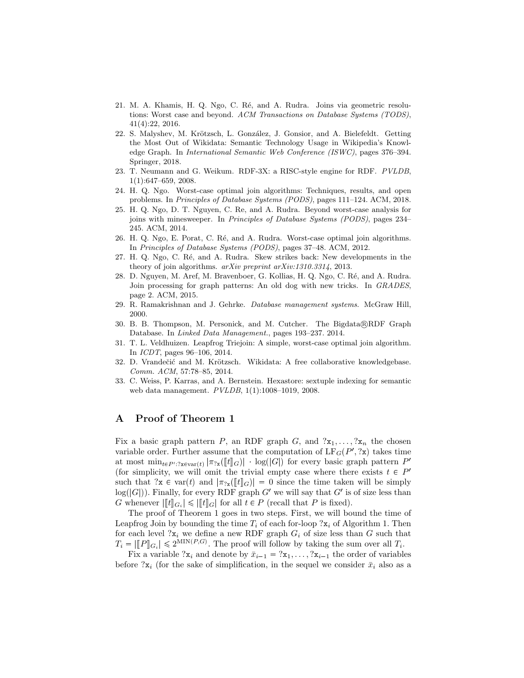- <span id="page-15-6"></span>21. M. A. Khamis, H. Q. Ngo, C. Ré, and A. Rudra. Joins via geometric resolutions: Worst case and beyond. ACM Transactions on Database Systems (TODS), 41(4):22, 2016.
- <span id="page-15-2"></span>22. S. Malyshev, M. Krötzsch, L. González, J. Gonsior, and A. Bielefeldt. Getting the Most Out of Wikidata: Semantic Technology Usage in Wikipedia's Knowledge Graph. In International Semantic Web Conference (ISWC), pages 376–394. Springer, 2018.
- <span id="page-15-0"></span>23. T. Neumann and G. Weikum. RDF-3X: a RISC-style engine for RDF. PVLDB, 1(1):647–659, 2008.
- <span id="page-15-12"></span>24. H. Q. Ngo. Worst-case optimal join algorithms: Techniques, results, and open problems. In Principles of Database Systems (PODS), pages 111–124. ACM, 2018.
- <span id="page-15-5"></span>25. H. Q. Ngo, D. T. Nguyen, C. Re, and A. Rudra. Beyond worst-case analysis for joins with minesweeper. In Principles of Database Systems (PODS), pages 234– 245. ACM, 2014.
- <span id="page-15-7"></span>26. H. Q. Ngo, E. Porat, C. Ré, and A. Rudra. Worst-case optimal join algorithms. In Principles of Database Systems (PODS), pages 37–48. ACM, 2012.
- <span id="page-15-8"></span>27. H. Q. Ngo, C. Ré, and A. Rudra. Skew strikes back: New developments in the theory of join algorithms.  $arXiv$  preprint  $arXiv:1310.3314$ , 2013.
- <span id="page-15-9"></span>28. D. Nguyen, M. Aref, M. Bravenboer, G. Kollias, H. Q. Ngo, C. Ré, and A. Rudra. Join processing for graph patterns: An old dog with new tricks. In GRADES, page 2. ACM, 2015.
- <span id="page-15-3"></span>29. R. Ramakrishnan and J. Gehrke. Database management systems. McGraw Hill, 2000.
- <span id="page-15-1"></span>30. B. B. Thompson, M. Personick, and M. Cutcher. The Bigdata®RDF Graph Database. In Linked Data Management., pages 193–237. 2014.
- <span id="page-15-4"></span>31. T. L. Veldhuizen. Leapfrog Triejoin: A simple, worst-case optimal join algorithm. In ICDT, pages 96–106, 2014.
- <span id="page-15-10"></span>32. D. Vrandečić and M. Krötzsch. Wikidata: A free collaborative knowledgebase. Comm. ACM, 57:78–85, 2014.
- <span id="page-15-11"></span>33. C. Weiss, P. Karras, and A. Bernstein. Hexastore: sextuple indexing for semantic web data management. PVLDB, 1(1):1008–1019, 2008.

# <span id="page-15-13"></span>A Proof of Theorem [1](#page-7-0)

Fix a basic graph pattern P, an RDF graph G, and  $2x_1, \ldots, 2x_n$  the chosen variable order. Further assume that the computation of  $LF_G(P', ?x)$  takes time at most  $\min_{t \in P': ?x \in \text{var}(t)} |\pi_{?x}([\![t]\!]_G) | \log(|G|)$  for every basic graph pattern P'<br>(for simplicity, we will omit the trivial empty associator there exists  $t \in P'$ (for simplicity, we will omit the trivial empty case where there exists  $t \in P'$ such that  $x \in \text{var}(t)$  and  $|\pi_{2x}(\llbracket t \rrbracket_G)| = 0$  since the time taken will be simply  $log(|G|)$ . Finally, for every RDF graph G' we will say that G' is of size less than G whenever  $\left|\llbracket t \rrbracket_{G_i} \right| \leq \left|\llbracket t \rrbracket_G \right|$  for all  $t \in P$  (recall that P is fixed).<br>The proof of Theorem 1 goes in two steps. First, we will be

The proof of Theorem [1](#page-7-0) goes in two steps. First, we will bound the time of Leapfrog Join by bounding the time  $T_i$  of each for-loop  $2x_i$  of Algorithm [1.](#page-6-1) Then for each level  $x_i$  we define a new RDF graph  $G_i$  of size less than G such that  $T_i = ||P||_{G_i} \leq 2^{\text{MIN}(P,G)}$ . The proof will follow by taking the sum over all  $T_i$ .<br>Ein a regularly  $2\pi$  and denote by  $\bar{x} = -2\pi$  and  $2\pi$  the ender of regular

Fix a variable ? $x_i$  and denote by  $\bar{x}_{i-1} = ?x_1, \ldots, ?x_{i-1}$  the order of variables before  $x_i$  (for the sake of simplification, in the sequel we consider  $\bar{x}_i$  also as a